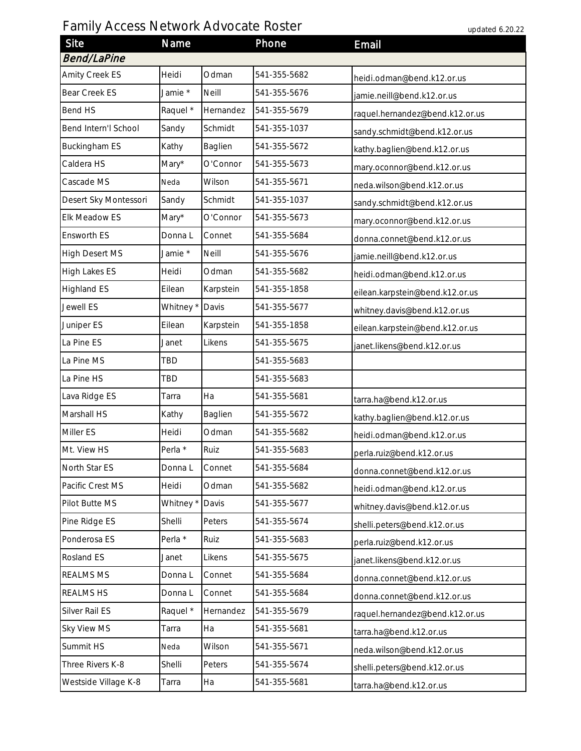## Family Access Network Advocate Roster

| updated 6.20.22 |  |  |
|-----------------|--|--|
|-----------------|--|--|

| Site                  | Name                 |           | Phone        | Email                           |  |  |
|-----------------------|----------------------|-----------|--------------|---------------------------------|--|--|
| <b>Bend/LaPine</b>    |                      |           |              |                                 |  |  |
| Amity Creek ES        | Heidi                | Odman     | 541-355-5682 | heidi.odman@bend.k12.or.us      |  |  |
| Bear Creek ES         | Jamie *              | Neill     | 541-355-5676 | jamie.neill@bend.k12.or.us      |  |  |
| Bend HS               | Raquel *             | Hernandez | 541-355-5679 | raquel.hernandez@bend.k12.or.us |  |  |
| Bend Intern'l School  | Sandy                | Schmidt   | 541-355-1037 | sandy.schmidt@bend.k12.or.us    |  |  |
| <b>Buckingham ES</b>  | Kathy                | Baglien   | 541-355-5672 | kathy.baglien@bend.k12.or.us    |  |  |
| Caldera HS            | Mary*                | O'Connor  | 541-355-5673 | mary.oconnor@bend.k12.or.us     |  |  |
| Cascade MS            | Neda                 | Wilson    | 541-355-5671 | neda.wilson@bend.k12.or.us      |  |  |
| Desert Sky Montessori | Sandy                | Schmidt   | 541-355-1037 | sandy.schmidt@bend.k12.or.us    |  |  |
| Elk Meadow ES         | Mary*                | O'Connor  | 541-355-5673 | mary.oconnor@bend.k12.or.us     |  |  |
| Ensworth ES           | Donna L              | Connet    | 541-355-5684 | donna.connet@bend.k12.or.us     |  |  |
| <b>High Desert MS</b> | Jamie*               | Neill     | 541-355-5676 | jamie.neill@bend.k12.or.us      |  |  |
| High Lakes ES         | Heidi                | Odman     | 541-355-5682 | heidi.odman@bend.k12.or.us      |  |  |
| <b>Highland ES</b>    | Eilean               | Karpstein | 541-355-1858 | eilean.karpstein@bend.k12.or.us |  |  |
| Jewell ES             | Whitney *            | Davis     | 541-355-5677 | whitney.davis@bend.k12.or.us    |  |  |
| Juniper ES            | Eilean               | Karpstein | 541-355-1858 | eilean.karpstein@bend.k12.or.us |  |  |
| La Pine ES            | Janet                | Likens    | 541-355-5675 | janet.likens@bend.k12.or.us     |  |  |
| La Pine MS            | TBD                  |           | 541-355-5683 |                                 |  |  |
| La Pine HS            | TBD                  |           | 541-355-5683 |                                 |  |  |
| Lava Ridge ES         | Tarra                | Ha        | 541-355-5681 | tarra.ha@bend.k12.or.us         |  |  |
| Marshall HS           | Kathy                | Baglien   | 541-355-5672 | kathy.baglien@bend.k12.or.us    |  |  |
| Miller ES             | Heidi                | Odman     | 541-355-5682 | heidi.odman@bend.k12.or.us      |  |  |
| Mt. View HS           | Perla *              | Ruiz      | 541-355-5683 | perla.ruiz@bend.k12.or.us       |  |  |
| North Star ES         | Donna L              | Connet    | 541-355-5684 | donna.connet@bend.k12.or.us     |  |  |
| Pacific Crest MS      | Heidi                | Odman     | 541-355-5682 | heidi.odman@bend.k12.or.us      |  |  |
| Pilot Butte MS        | Whitney <sup>*</sup> | Davis     | 541-355-5677 | whitney.davis@bend.k12.or.us    |  |  |
| Pine Ridge ES         | Shelli               | Peters    | 541-355-5674 | shelli.peters@bend.k12.or.us    |  |  |
| Ponderosa ES          | Perla *              | Ruiz      | 541-355-5683 | perla.ruiz@bend.k12.or.us       |  |  |
| Rosland ES            | Janet                | Likens    | 541-355-5675 | janet.likens@bend.k12.or.us     |  |  |
| REALMS MS             | Donna L              | Connet    | 541-355-5684 | donna.connet@bend.k12.or.us     |  |  |
| <b>REALMS HS</b>      | Donna L              | Connet    | 541-355-5684 | donna.connet@bend.k12.or.us     |  |  |
| Silver Rail ES        | Raquel *             | Hernandez | 541-355-5679 | raquel.hernandez@bend.k12.or.us |  |  |
| Sky View MS           | Tarra                | Ha        | 541-355-5681 | tarra.ha@bend.k12.or.us         |  |  |
| Summit HS             | Neda                 | Wilson    | 541-355-5671 | neda.wilson@bend.k12.or.us      |  |  |
| Three Rivers K-8      | Shelli               | Peters    | 541-355-5674 | shelli.peters@bend.k12.or.us    |  |  |
| Westside Village K-8  | Tarra                | Ha        | 541-355-5681 | tarra.ha@bend.k12.or.us         |  |  |